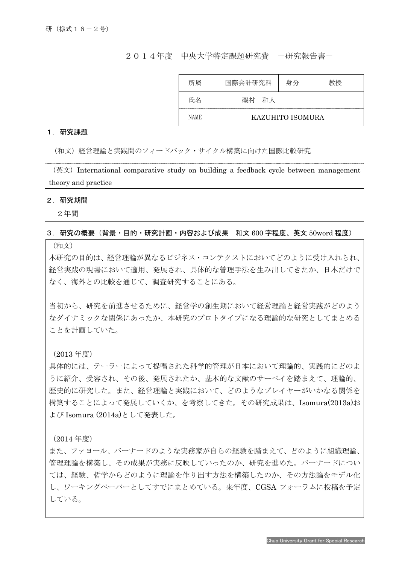## 2014年度 中央大学特定課題研究費 -研究報告書-

| 所属          | 国際会計研究科          | 身分 | 教授 |
|-------------|------------------|----|----|
| 氏名          | 磯村<br>和人         |    |    |
| <b>NAME</b> | KAZUHITO ISOMURA |    |    |

## 1.研究課題

(和文)経営理論と実践間のフィードバック・サイクル構築に向けた国際比較研究

 $(\overline{X}, \overline{X})$  International comparative study on building a feedback cycle between management theory and practice

#### 2.研究期間

I

2年間

### 3.研究の概要(背景・目的・研究計画・内容および成果 和文 600 字程度、英文 50word 程度)

(和文)

本研究の目的は、経営理論が異なるビジネス・コンテクストにおいてどのように受け入れられ、 経営実践の現場において適用、発展され、具体的な管理手法を生み出してきたか、日本だけで なく、海外との比較を通じて、調査研究することにある。

当初から、研究を前進させるために、経営学の創生期において経営理論と経営実践がどのよう なダイナミックな関係にあったか、本研究のプロトタイプになる理論的な研究としてまとめる ことを計画していた。

(2013 年度)

具体的には、テーラーによって提唱された科学的管理が日本において理論的、実践的にどのよ うに紹介、受容され、その後、発展されたか、基本的な文献のサーベイを踏まえて、理論的、 歴史的に研究した。また、経営理論と実践において、どのようなプレイヤーがいかなる関係を 構築することによって発展していくか、を考察してきた。その研究成果は、Isomura(2013a)お よび Isomura (2014a)として発表した。

(2014 年度)

また、ファヨール、バーナードのような実務家が自らの経験を踏まえて、どのように組織理論、 管理理論を構築し、その成果が実務に反映していったのか、研究を進めた。バーナードについ ては、経験、哲学からどのように理論を作り出す方法を構築したのか、その方法論をモデル化 し、ワーキングペーパーとしてすでにまとめている。来年度、CGSA フォーラムに投稿を予定 している。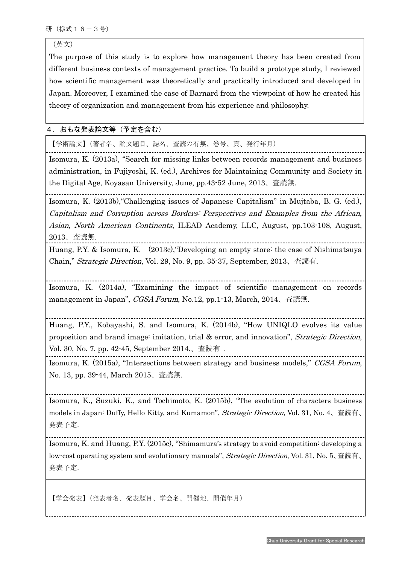(英文)

The purpose of this study is to explore how management theory has been created from different business contexts of management practice. To build a prototype study, I reviewed how scientific management was theoretically and practically introduced and developed in Japan. Moreover, I examined the case of Barnard from the viewpoint of how he created his theory of organization and management from his experience and philosophy.

# 4.おもな発表論文等(予定を含む)

【学術論文】(著者名、論文題目、誌名、査読の有無、巻号、頁、発行年月)

Isomura, K. (2013a), "Search for missing links between records management and business administration, in Fujiyoshi, K. (ed.), Archives for Maintaining Community and Society in the Digital Age, Koyasan University, June, pp.43-52 June, 2013、査読無.

Isomura, K. (2013b),"Challenging issues of Japanese Capitalism" in Mujtaba, B. G. (ed.), Capitalism and Corruption across Borders: Perspectives and Examples from the African, Asian, North American Continents, ILEAD Academy, LLC, August, pp.103-108, August, 2013、査読無.

Huang, P.Y. & Isomura, K. (2013c),"Developing an empty store: the case of Nishimatsuya Chain," Strategic Direction, Vol. 29, No. 9, pp. 35-37, September, 2013、査読有.

Isomura, K. (2014a), "Examining the impact of scientific management on records management in Japan", CGSA Forum, No.12, pp.1-13, March, 2014、査読無.

Huang, P.Y., Kobayashi, S. and Isomura, K. (2014b), "How UNIQLO evolves its value proposition and brand image: imitation, trial & error, and innovation", Strategic Direction, Vol. 30, No. 7, pp. 42-45, September 2014.、査読有 .

Isomura, K. (2015a), "Intersections between strategy and business models," CGSA Forum, No. 13, pp. 39-44, March 2015、査読無.

Isomura, K., Suzuki, K., and Tochimoto, K. (2015b), "The evolution of characters business models in Japan: Duffy, Hello Kitty, and Kumamon", Strategic Direction, Vol. 31, No. 4、査読有、 発表予定.

Isomura, K. and Huang, P.Y. (2015c), "Shimamura's strategy to avoid competition: developing a low-cost operating system and evolutionary manuals", Strategic Direction, Vol. 31, No. 5、査読有、 発表予定.

【学会発表】(発表者名、発表題目、学会名、開催地、開催年月)